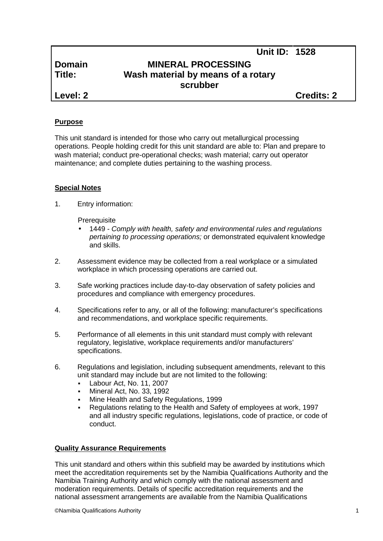# **Domain MINERAL PROCESSING Title: Wash material by means of a rotary scrubber**

**Level: 2 Credits: 2**

**Unit ID: 1528**

## **Purpose**

This unit standard is intended for those who carry out metallurgical processing operations. People holding credit for this unit standard are able to: Plan and prepare to wash material; conduct pre-operational checks; wash material; carry out operator maintenance; and complete duties pertaining to the washing process.

## **Special Notes**

1. Entry information:

**Prerequisite** 

- 1449 *- Comply with health, safety and environmental rules and regulations pertaining to processing operations;* or demonstrated equivalent knowledge and skills.
- 2. Assessment evidence may be collected from a real workplace or a simulated workplace in which processing operations are carried out.
- 3. Safe working practices include day-to-day observation of safety policies and procedures and compliance with emergency procedures.
- 4. Specifications refer to any, or all of the following: manufacturer's specifications and recommendations, and workplace specific requirements.
- 5. Performance of all elements in this unit standard must comply with relevant regulatory, legislative, workplace requirements and/or manufacturers' specifications.
- 6. Regulations and legislation, including subsequent amendments, relevant to this unit standard may include but are not limited to the following:
	- Labour Act, No. 11, 2007
	- Mineral Act, No. 33, 1992
	- Mine Health and Safety Regulations, 1999
	- Regulations relating to the Health and Safety of employees at work, 1997 and all industry specific regulations, legislations, code of practice, or code of conduct.

### **Quality Assurance Requirements**

This unit standard and others within this subfield may be awarded by institutions which meet the accreditation requirements set by the Namibia Qualifications Authority and the Namibia Training Authority and which comply with the national assessment and moderation requirements. Details of specific accreditation requirements and the national assessment arrangements are available from the Namibia Qualifications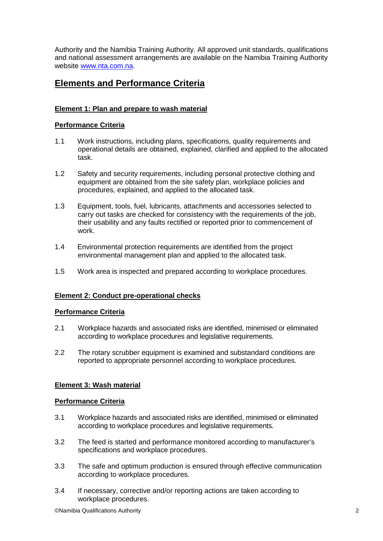Authority and the Namibia Training Authority. All approved unit standards, qualifications and national assessment arrangements are available on the Namibia Training Authority website www.nta.com.na.

## **Elements and Performance Criteria**

## **Element 1: Plan and prepare to wash material**

### **Performance Criteria**

- 1.1 Work instructions, including plans, specifications, quality requirements and operational details are obtained, explained, clarified and applied to the allocated task.
- 1.2 Safety and security requirements, including personal protective clothing and equipment are obtained from the site safety plan, workplace policies and procedures, explained, and applied to the allocated task.
- 1.3 Equipment, tools, fuel, lubricants, attachments and accessories selected to carry out tasks are checked for consistency with the requirements of the job, their usability and any faults rectified or reported prior to commencement of work.
- 1.4 Environmental protection requirements are identified from the project environmental management plan and applied to the allocated task.
- 1.5 Work area is inspected and prepared according to workplace procedures.

### **Element 2: Conduct pre-operational checks**

### **Performance Criteria**

- 2.1 Workplace hazards and associated risks are identified, minimised or eliminated according to workplace procedures and legislative requirements.
- 2.2 The rotary scrubber equipment is examined and substandard conditions are reported to appropriate personnel according to workplace procedures.

### **Element 3: Wash material**

#### **Performance Criteria**

- 3.1 Workplace hazards and associated risks are identified, minimised or eliminated according to workplace procedures and legislative requirements.
- 3.2 The feed is started and performance monitored according to manufacturer's specifications and workplace procedures.
- 3.3 The safe and optimum production is ensured through effective communication according to workplace procedures.
- 3.4 If necessary, corrective and/or reporting actions are taken according to workplace procedures.